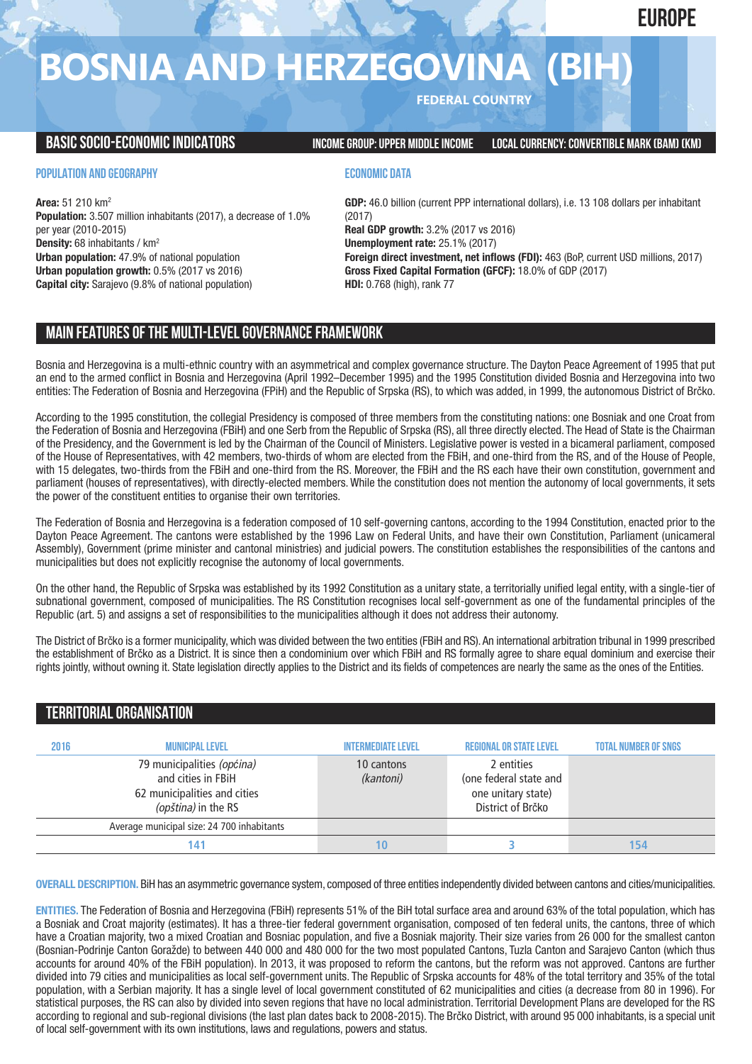**EUROPE**

# **BOSNIA AND HERZEGOVINA (BIH)**

**FEDERAL COUNTRY**

**BASICSOCIO-ECONOMICINDICATORS INCOMEGROUP:UPPER MIDDLEINCOME LOCALCURRENCY:CONVERTIBLE MARK (BAM) (KM)**

# **POPULATION AND GEOGRAPHY**

**Area:** 51 210 km2 **Population:** 3.507 million inhabitants (2017), a decrease of 1.0% per year (2010-2015) **Density:** 68 inhabitants / km2 **Urban population:** 47.9% of national population **Urban population growth:** 0.5% (2017 vs 2016) **Capital city:** Sarajevo (9.8% of national population)

# **ECONOMIC DATA**

**GDP:** 46.0 billion (current PPP international dollars), i.e. 13 108 dollars per inhabitant (2017) **Real GDP growth:** 3.2% (2017 vs 2016) **Unemployment rate:** 25.1% (2017) **Foreign direct investment, net inflows (FDI):** 463 (BoP, current USD millions, 2017) **Gross Fixed Capital Formation (GFCF):** 18.0% of GDP (2017) **HDI:** 0.768 (high), rank 77

# **MAIN FEATURESOFTHE MULTI-LEVELGOVERNANCEFRAMEWORK**

Bosnia and Herzegovina is a multi-ethnic country with an asymmetrical and complex governance structure. The Dayton Peace Agreement of 1995 that put an end to the armed conflict in Bosnia and Herzegovina (April 1992–December 1995) and the 1995 Constitution divided Bosnia and Herzegovina into two entities: The Federation of Bosnia and Herzegovina (FPiH) and the Republic of Srpska (RS), to which was added, in 1999, the autonomous District of Brčko.

According to the 1995 constitution, the collegial Presidency is composed of three members from the constituting nations: one Bosniak and one Croat from the Federation of Bosnia and Herzegovina (FBiH) and one Serb from the Republic of Srpska (RS), all three directly elected. The Head of State is the Chairman of the Presidency, and the Government is led by the Chairman of the Council of Ministers. Legislative power is vested in a bicameral parliament, composed of the House of Representatives, with 42 members, two-thirds of whom are elected from the FBiH, and one-third from the RS, and of the House of People, with 15 delegates, two-thirds from the FBiH and one-third from the RS. Moreover, the FBiH and the RS each have their own constitution, government and parliament (houses of representatives), with directly-elected members. While the constitution does not mention the autonomy of local governments, it sets the power of the constituent entities to organise their own territories.

The Federation of Bosnia and Herzegovina is a federation composed of 10 self-governing cantons, according to the 1994 Constitution, enacted prior to the Dayton Peace Agreement. The cantons were established by the 1996 Law on Federal Units, and have their own Constitution, Parliament (unicameral Assembly), Government (prime minister and cantonal ministries) and judicial powers. The constitution establishes the responsibilities of the cantons and municipalities but does not explicitly recognise the autonomy of local governments.

On the other hand, the Republic of Srpska was established by its 1992 Constitution as a unitary state, a territorially unified legal entity, with a single-tier of subnational government, composed of municipalities. The RS Constitution recognises local self-government as one of the fundamental principles of the Republic (art. 5) and assigns a set of responsibilities to the municipalities although it does not address their autonomy.

The District of Brčko is a former municipality, which was divided between the two entities (FBiH and RS). An international arbitration tribunal in 1999 prescribed the establishment of Brčko as a District. It is since then a condominium over which FBiH and RS formally agree to share equal dominium and exercise their rights jointly, without owning it. State legislation directly applies to the District and its fields of competences are nearly the same as the ones of the Entities.

# **TERRITORIALORGANISATION**

| 2016 | <b>MUNICIPAL LEVEL</b>                                                                                  | <b>INTERMEDIATE LEVEL</b> | <b>REGIONAL OR STATE LEVEL</b>                                                  | <b>TOTAL NUMBER OF SNGS</b> |
|------|---------------------------------------------------------------------------------------------------------|---------------------------|---------------------------------------------------------------------------------|-----------------------------|
|      | 79 municipalities (općina)<br>and cities in FBiH<br>62 municipalities and cities<br>(opština) in the RS | 10 cantons<br>(kantoni)   | 2 entities<br>(one federal state and<br>one unitary state)<br>District of Brčko |                             |
|      | Average municipal size: 24 700 inhabitants                                                              |                           |                                                                                 |                             |
|      | 141                                                                                                     | Ю                         |                                                                                 | 154                         |

**OVERALL DESCRIPTION.** BiH has an asymmetric governance system, composed of three entities independently divided between cantons and cities/municipalities.

**ENTITIES.** The Federation of Bosnia and Herzegovina (FBiH) represents 51% of the BiH total surface area and around 63% of the total population, which has a Bosniak and Croat majority (estimates). It has a three-tier federal government organisation, composed of ten federal units, the cantons, three of which have a Croatian majority, two a mixed Croatian and Bosniac population, and five a Bosniak majority. Their size varies from 26 000 for the smallest canton (Bosnian-Podrinje Canton Goražde) to between 440 000 and 480 000 for the two most populated Cantons, Tuzla Canton and Sarajevo Canton (which thus accounts for around 40% of the FBiH population). In 2013, it was proposed to reform the cantons, but the reform was not approved. Cantons are further divided into 79 cities and municipalities as local self-government units. The Republic of Srpska accounts for 48% of the total territory and 35% of the total population, with a Serbian majority. It has a single level of local government constituted of 62 municipalities and cities (a decrease from 80 in 1996). For statistical purposes, the RS can also by divided into seven regions that have no local administration. Territorial Development Plans are developed for the RS according to regional and sub-regional divisions (the last plan dates back to 2008-2015). The Brčko District, with around 95 000 inhabitants, is a special unit of local self-government with its own institutions, laws and regulations, powers and status.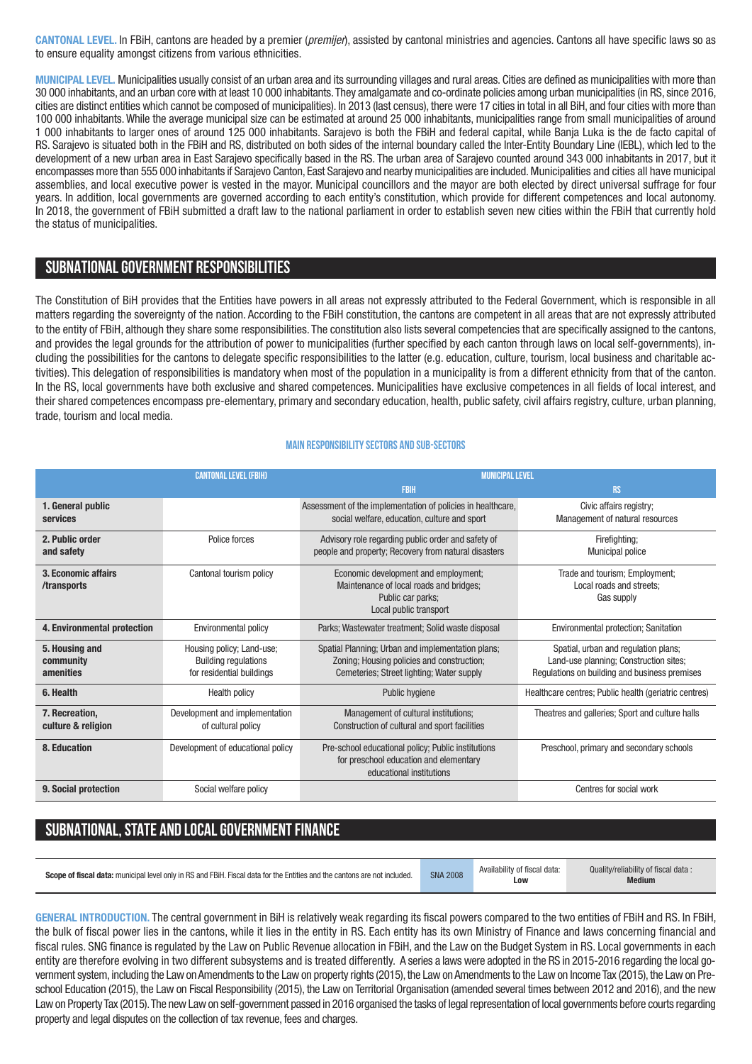**CANTONAL LEVEL.** In FBiH, cantons are headed by a premier (*premijer*), assisted by cantonal ministries and agencies. Cantons all have specific laws so as to ensure equality amongst citizens from various ethnicities.

**MUNICIPAL LEVEL.** Municipalities usually consist of an urban area and its surrounding villages and rural areas. Cities are defined as municipalities with more than 30 000 inhabitants, and an urban core with at least 10 000 inhabitants.They amalgamate and co-ordinate policies among urban municipalities (in RS, since 2016, cities are distinct entities which cannot be composed of municipalities). In 2013 (last census), there were 17 cities in total in all BiH, and four cities with more than 100 000 inhabitants. While the average municipal size can be estimated at around 25 000 inhabitants, municipalities range from small municipalities of around 1 000 inhabitants to larger ones of around 125 000 inhabitants. Sarajevo is both the FBiH and federal capital, while Banja Luka is the de facto capital of RS. Sarajevo is situated both in the FBiH and RS, distributed on both sides of the internal boundary called the Inter-Entity Boundary Line (IEBL), which led to the development of a new urban area in East Sarajevo specifically based in the RS. The urban area of Sarajevo counted around 343 000 inhabitants in 2017, but it encompasses more than 555 000 inhabitants if Sarajevo Canton, East Sarajevo and nearby municipalities are included. Municipalities and cities all have municipal assemblies, and local executive power is vested in the mayor. Municipal councillors and the mayor are both elected by direct universal suffrage for four years. In addition, local governments are governed according to each entity's constitution, which provide for different competences and local autonomy. In 2018, the government of FBiH submitted a draft law to the national parliament in order to establish seven new cities within the FBiH that currently hold the status of municipalities.

# **SUBNATIONALGOVERNMENT RESPONSIBILITIES**

The Constitution of BiH provides that the Entities have powers in all areas not expressly attributed to the Federal Government, which is responsible in all matters regarding the sovereignty of the nation. According to the FBiH constitution, the cantons are competent in all areas that are not expressly attributed to the entity of FBiH, although they share some responsibilities. The constitution also lists several competencies that are specifically assigned to the cantons, and provides the legal grounds for the attribution of power to municipalities (further specified by each canton through laws on local self-governments), including the possibilities for the cantons to delegate specific responsibilities to the latter (e.g. education, culture, tourism, local business and charitable activities). This delegation of responsibilities is mandatory when most of the population in a municipality is from a different ethnicity from that of the canton. In the RS, local governments have both exclusive and shared competences. Municipalities have exclusive competences in all fields of local interest, and their shared competences encompass pre-elementary, primary and secondary education, health, public safety, civil affairs registry, culture, urban planning, trade, tourism and local media.

#### **Main responsibilitysectors and sub-sectors**

|                                          | <b>CANTONAL LEVEL (FBIH)</b>                                                          | <b>MUNICIPAL LEVEL</b>                                                                                                                       |                                                                                                                                 |  |
|------------------------------------------|---------------------------------------------------------------------------------------|----------------------------------------------------------------------------------------------------------------------------------------------|---------------------------------------------------------------------------------------------------------------------------------|--|
|                                          |                                                                                       | <b>FBIH</b>                                                                                                                                  | <b>RS</b>                                                                                                                       |  |
| 1. General public<br>services            |                                                                                       | Assessment of the implementation of policies in healthcare,<br>social welfare, education, culture and sport                                  | Civic affairs registry;<br>Management of natural resources                                                                      |  |
| 2. Public order<br>and safety            | Police forces                                                                         | Advisory role regarding public order and safety of<br>people and property; Recovery from natural disasters                                   | Firefighting;<br><b>Municipal police</b>                                                                                        |  |
| 3. Economic affairs<br>/transports       | Cantonal tourism policy                                                               | Economic development and employment;<br>Maintenance of local roads and bridges;<br>Public car parks;<br>Local public transport               | Trade and tourism; Employment;<br>Local roads and streets:<br>Gas supply                                                        |  |
| 4. Environmental protection              | Environmental policy                                                                  | Parks; Wastewater treatment; Solid waste disposal                                                                                            | Environmental protection; Sanitation                                                                                            |  |
| 5. Housing and<br>community<br>amenities | Housing policy; Land-use;<br><b>Building regulations</b><br>for residential buildings | Spatial Planning; Urban and implementation plans;<br>Zoning; Housing policies and construction;<br>Cemeteries: Street lighting: Water supply | Spatial, urban and regulation plans;<br>Land-use planning; Construction sites;<br>Regulations on building and business premises |  |
| 6. Health                                | <b>Health policy</b>                                                                  | Public hygiene                                                                                                                               | Healthcare centres; Public health (geriatric centres)                                                                           |  |
| 7. Recreation.<br>culture & religion     | Development and implementation<br>of cultural policy                                  | Management of cultural institutions;<br>Construction of cultural and sport facilities                                                        | Theatres and galleries; Sport and culture halls                                                                                 |  |
| 8. Education                             | Development of educational policy                                                     | Pre-school educational policy; Public institutions<br>for preschool education and elementary<br>educational institutions                     | Preschool, primary and secondary schools                                                                                        |  |
| 9. Social protection                     | Social welfare policy                                                                 |                                                                                                                                              | Centres for social work                                                                                                         |  |

# **SUBNATIONAL, STATE AND LOCAL GOVERNMENT FINANCE**

| Scope of fiscal data: municipal level only in RS and FBiH. Fiscal data for the Entities and the cantons are not included. | <b>SNA 2008</b> | Availability of fiscal data:<br><b>LOW</b> | Quality/reliability of fiscal data<br><b>Medium</b> |
|---------------------------------------------------------------------------------------------------------------------------|-----------------|--------------------------------------------|-----------------------------------------------------|
|---------------------------------------------------------------------------------------------------------------------------|-----------------|--------------------------------------------|-----------------------------------------------------|

**GENERAL INTRODUCTION.** The central government in BiH is relatively weak regarding its fiscal powers compared to the two entities of FBiH and RS. In FBiH, the bulk of fiscal power lies in the cantons, while it lies in the entity in RS. Each entity has its own Ministry of Finance and laws concerning financial and fiscal rules. SNG finance is regulated by the Law on Public Revenue allocation in FBiH, and the Law on the Budget System in RS. Local governments in each entity are therefore evolving in two different subsystems and is treated differently. A series a laws were adopted in the RS in 2015-2016 regarding the local government system, including the Law on Amendments to the Law on property rights (2015), the Law on Amendments to the Law on Income Tax (2015), the Lawon Preschool Education (2015), the Law on Fiscal Responsibility (2015), the Law on Territorial Organisation (amended several times between 2012 and 2016), and the new Law on Property Tax (2015). The new Law on self-government passed in 2016 organised the tasks of legal representation of local governments before courts regarding property and legal disputes on the collection of tax revenue, fees and charges.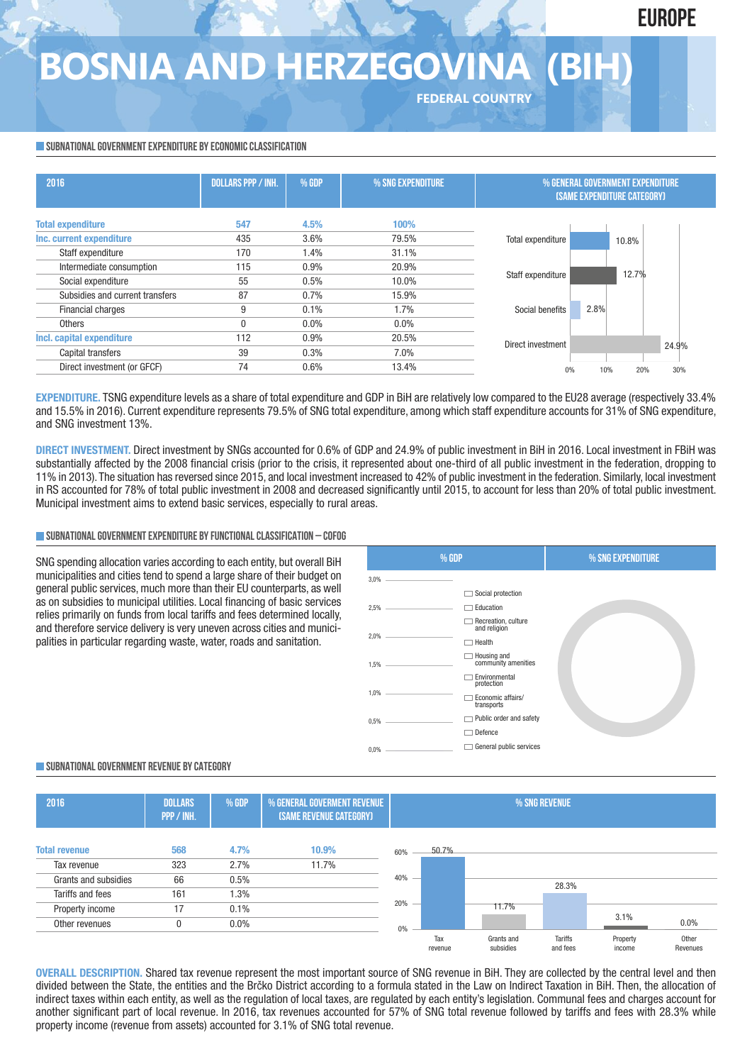# **EUROPE**

# **BOSNIA AND HERZEGOVINA (BIH)**

**FEDERAL COUNTRY**

## **SUBNATIONAL GOVERNMENT EXPENDITURE BY ECONOMIC CLASSIFICATION**

| 2016                            | <b>DOLLARS PPP / INH.</b> | % GDP | % SNG EXPENDITURE |                   | % GENERAL GOVERNMENT EXPENDITURE<br><b>(SAME EXPENDITURE CATEGORY)</b> |       |
|---------------------------------|---------------------------|-------|-------------------|-------------------|------------------------------------------------------------------------|-------|
| <b>Total expenditure</b>        | 547                       | 4.5%  | 100%              |                   |                                                                        |       |
| Inc. current expenditure        | 435                       | 3.6%  | 79.5%             | Total expenditure | 10.8%                                                                  |       |
| Staff expenditure               | 170                       | 1.4%  | 31.1%             |                   |                                                                        |       |
| Intermediate consumption        | 115                       | 0.9%  | 20.9%             |                   | 12.7%                                                                  |       |
| Social expenditure              | 55                        | 0.5%  | 10.0%             | Staff expenditure |                                                                        |       |
| Subsidies and current transfers | 87                        | 0.7%  | 15.9%             |                   |                                                                        |       |
| Financial charges               | 9                         | 0.1%  | 1.7%              | Social benefits   | 2.8%                                                                   |       |
| Others                          |                           | 0.0%  | $0.0\%$           |                   |                                                                        |       |
| Incl. capital expenditure       | 112                       | 0.9%  | 20.5%             | Direct investment |                                                                        |       |
| Capital transfers               | 39                        | 0.3%  | 7.0%              |                   |                                                                        | 24.9% |
| Direct investment (or GFCF)     | 74                        | 0.6%  | 13.4%             | 0%                | 20%<br>10%                                                             | 30%   |

**EXPENDITURE.** TSNG expenditure levels as a share of total expenditure and GDP in BiH are relatively low compared to the EU28 average (respectively 33.4% and 15.5% in 2016). Current expenditure represents 79.5% of SNG total expenditure, among which staff expenditure accounts for 31% of SNG expenditure, and SNG investment 13%.

**DIRECT INVESTMENT.** Direct investment by SNGs accounted for 0.6% of GDP and 24.9% of public investment in BiH in 2016. Local investment in FBiH was substantially affected by the 2008 financial crisis (prior to the crisis, it represented about one-third of all public investment in the federation, dropping to 11% in 2013). The situation has reversed since 2015, and local investment increased to 42% of public investment in the federation. Similarly, local investment in RS accounted for 78% of total public investment in 2008 and decreased significantly until 2015, to account for less than 20% of total public investment. Municipal investment aims to extend basic services, especially to rural areas.

## **SUBNATIONALGOVERNMENTEXPENDITURE BYFUNCTIONALCLASSIFICATION – COFOG**

SNG spending allocation varies according to each entity, but overall BiH municipalities and cities tend to spend a large share of their budget on general public services, much more than their EU counterparts, as well as on subsidies to municipal utilities. Local financing of basic services relies primarily on funds from local tariffs and fees determined locally, and therefore service delivery is very uneven across cities and municipalities in particular regarding waste, water, roads and sanitation.



## **SUBNATIONALGOVERNMENT REVENUE BYCATEGORY**



**OVERALL DESCRIPTION.** Shared tax revenue represent the most important source of SNG revenue in BiH. They are collected by the central level and then divided between the State, the entities and the Brčko District according to a formula stated in the Law on Indirect Taxation in BiH. Then, the allocation of indirect taxes within each entity, as well as the regulation of local taxes, are regulated by each entity's legislation. Communal fees and charges account for another significant part of local revenue. In 2016, tax revenues accounted for 57% of SNG total revenue followed by tariffs and fees with 28.3% while property income (revenue from assets) accounted for 3.1% of SNG total revenue.